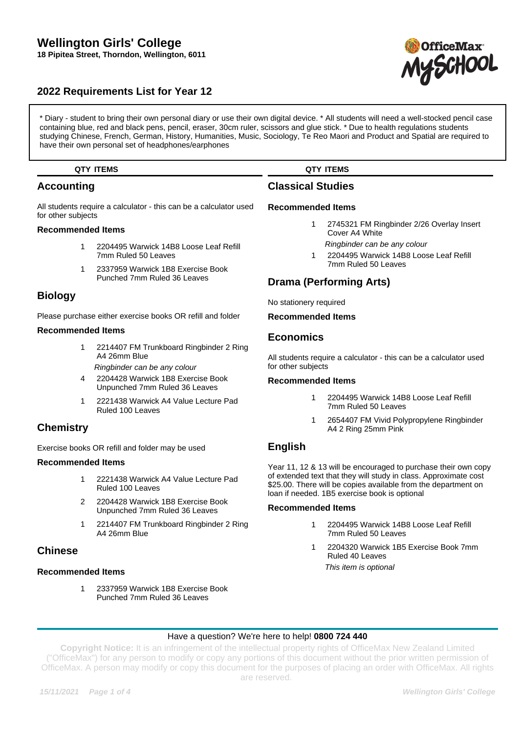# **Wellington Girls' College 18 Pipitea Street, Thorndon, Wellington, 6011**

# **2022 Requirements List for Year 12**

\* Diary - student to bring their own personal diary or use their own digital device. \* All students will need a well-stocked pencil case containing blue, red and black pens, pencil, eraser, 30cm ruler, scissors and glue stick. \* Due to health regulations students studying Chinese, French, German, History, Humanities, Music, Sociology, Te Reo Maori and Product and Spatial are required to have their own personal set of headphones/earphones

### **QTY ITEMS**

# **Accounting**

All students require a calculator - this can be a calculator used for other subjects

### **Recommended Items**

- 1 2204495 Warwick 14B8 Loose Leaf Refill 7mm Ruled 50 Leaves
- 1 2337959 Warwick 1B8 Exercise Book Punched 7mm Ruled 36 Leaves

# **Biology**

Please purchase either exercise books OR refill and folder

### **Recommended Items**

- 1 2214407 FM Trunkboard Ringbinder 2 Ring A4 26mm Blue
	- Ringbinder can be any colour
- 4 2204428 Warwick 1B8 Exercise Book Unpunched 7mm Ruled 36 Leaves
- 1 2221438 Warwick A4 Value Lecture Pad Ruled 100 Leaves

# **Chemistry**

Exercise books OR refill and folder may be used

### **Recommended Items**

- 1 2221438 Warwick A4 Value Lecture Pad Ruled 100 Leaves
- 2 2204428 Warwick 1B8 Exercise Book Unpunched 7mm Ruled 36 Leaves
- 1 2214407 FM Trunkboard Ringbinder 2 Ring A4 26mm Blue

### **Chinese**

### **Recommended Items**

1 2337959 Warwick 1B8 Exercise Book Punched 7mm Ruled 36 Leaves

# **QTY ITEMS**

# **Classical Studies**

#### **Recommended Items**

- 1 2745321 FM Ringbinder 2/26 Overlay Insert Cover A4 White
- Ringbinder can be any colour
- 1 2204495 Warwick 14B8 Loose Leaf Refill 7mm Ruled 50 Leaves

# **Drama (Performing Arts)**

No stationery required

### **Recommended Items**

## **Economics**

All students require a calculator - this can be a calculator used for other subjects

### **Recommended Items**

- 1 2204495 Warwick 14B8 Loose Leaf Refill 7mm Ruled 50 Leaves
- 2654407 FM Vivid Polypropylene Ringbinder A4 2 Ring 25mm Pink

# **English**

Year 11, 12 & 13 will be encouraged to purchase their own copy of extended text that they will study in class. Approximate cost \$25.00. There will be copies available from the department on loan if needed. 1B5 exercise book is optional

### **Recommended Items**

- 1 2204495 Warwick 14B8 Loose Leaf Refill 7mm Ruled 50 Leaves
- 1 2204320 Warwick 1B5 Exercise Book 7mm Ruled 40 Leaves This item is optional

### Have a question? We're here to help! **0800 724 440**

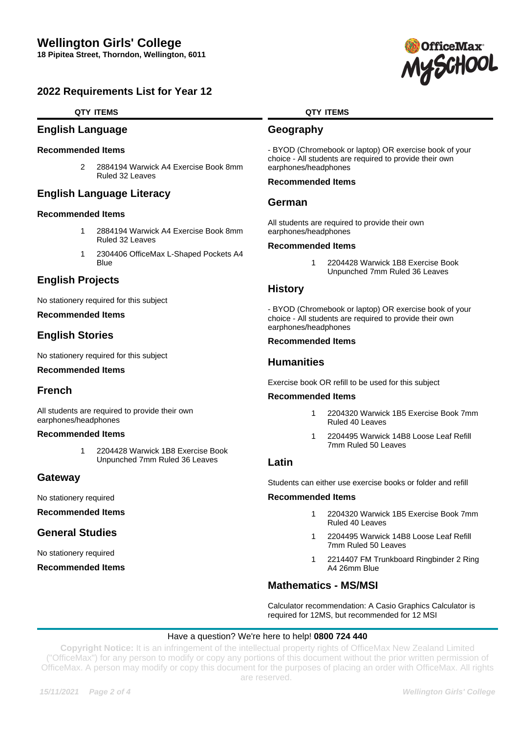# **2022 Requirements List for Year 12**

### **QTY ITEMS**

## **English Language**

#### **Recommended Items**

2 2884194 Warwick A4 Exercise Book 8mm Ruled 32 Leaves

# **English Language Literacy**

#### **Recommended Items**

- 1 2884194 Warwick A4 Exercise Book 8mm Ruled 32 Leaves
- 1 2304406 OfficeMax L-Shaped Pockets A4 Blue

# **English Projects**

No stationery required for this subject

### **Recommended Items**

# **English Stories**

No stationery required for this subject

#### **Recommended Items**

### **French**

All students are required to provide their own earphones/headphones

#### **Recommended Items**

1 2204428 Warwick 1B8 Exercise Book Unpunched 7mm Ruled 36 Leaves

### **Gateway**

No stationery required

**Recommended Items**

# **General Studies**

No stationery required

**Recommended Items**

### **QTY ITEMS**

### **Geography**

- BYOD (Chromebook or laptop) OR exercise book of your choice - All students are required to provide their own earphones/headphones

### **Recommended Items**

### **German**

All students are required to provide their own earphones/headphones

#### **Recommended Items**

1 2204428 Warwick 1B8 Exercise Book Unpunched 7mm Ruled 36 Leaves

### **History**

- BYOD (Chromebook or laptop) OR exercise book of your choice - All students are required to provide their own earphones/headphones

### **Recommended Items**

### **Humanities**

Exercise book OR refill to be used for this subject

### **Recommended Items**

- 1 2204320 Warwick 1B5 Exercise Book 7mm Ruled 40 Leaves
- 1 2204495 Warwick 14B8 Loose Leaf Refill 7mm Ruled 50 Leaves

### **Latin**

Students can either use exercise books or folder and refill

#### **Recommended Items**

- 1 2204320 Warwick 1B5 Exercise Book 7mm Ruled 40 Leaves
- 1 2204495 Warwick 14B8 Loose Leaf Refill 7mm Ruled 50 Leaves
- 1 2214407 FM Trunkboard Ringbinder 2 Ring A4 26mm Blue

# **Mathematics - MS/MSI**

Calculator recommendation: A Casio Graphics Calculator is required for 12MS, but recommended for 12 MSI

### Have a question? We're here to help! **0800 724 440**

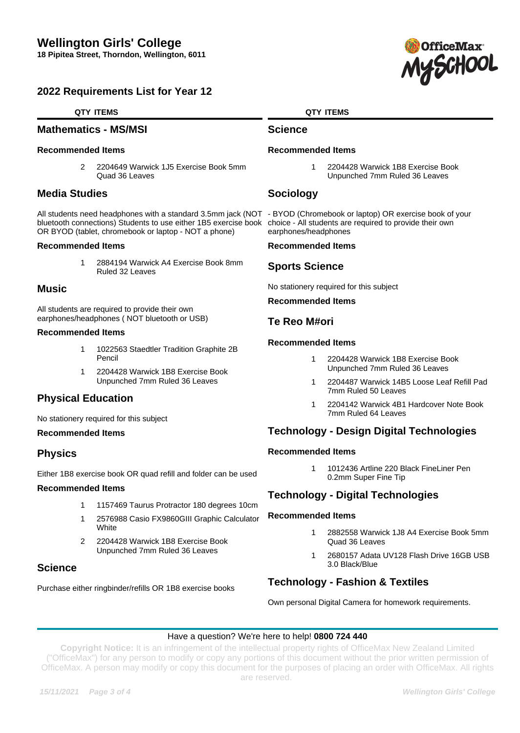# **2022 Requirements List for Year 12**

### **QTY ITEMS**

### **Mathematics - MS/MSI**

#### **Recommended Items**

2 2204649 Warwick 1J5 Exercise Book 5mm Quad 36 Leaves

## **Media Studies**

All students need headphones with a standard 3.5mm jack (NOT - BYOD (Chromebook or laptop) OR exercise book of your bluetooth connections) Students to use either 1B5 exercise book OR BYOD (tablet, chromebook or laptop - NOT a phone)

#### **Recommended Items**

1 2884194 Warwick A4 Exercise Book 8mm Ruled 32 Leaves

## **Music**

All students are required to provide their own earphones/headphones ( NOT bluetooth or USB)

#### **Recommended Items**

- 1 1022563 Staedtler Tradition Graphite 2B Pencil
- 1 2204428 Warwick 1B8 Exercise Book Unpunched 7mm Ruled 36 Leaves

# **Physical Education**

No stationery required for this subject

### **Recommended Items**

# **Physics**

Either 1B8 exercise book OR quad refill and folder can be used

### **Recommended Items**

- 1 1157469 Taurus Protractor 180 degrees 10cm
- 1 2576988 Casio FX9860GIII Graphic Calculator **White**
- 2 2204428 Warwick 1B8 Exercise Book Unpunched 7mm Ruled 36 Leaves

# **Science**

Purchase either ringbinder/refills OR 1B8 exercise books

### **QTY ITEMS**

### **Science**

### **Recommended Items**

1 2204428 Warwick 1B8 Exercise Book Unpunched 7mm Ruled 36 Leaves

# **Sociology**

choice - All students are required to provide their own earphones/headphones

#### **Recommended Items**

# **Sports Science**

No stationery required for this subject

### **Recommended Items**

## **Te Reo M#ori**

### **Recommended Items**

- 1 2204428 Warwick 1B8 Exercise Book Unpunched 7mm Ruled 36 Leaves
- 1 2204487 Warwick 14B5 Loose Leaf Refill Pad 7mm Ruled 50 Leaves
- 1 2204142 Warwick 4B1 Hardcover Note Book 7mm Ruled 64 Leaves

# **Technology - Design Digital Technologies**

### **Recommended Items**

1 1012436 Artline 220 Black FineLiner Pen 0.2mm Super Fine Tip

# **Technology - Digital Technologies**

### **Recommended Items**

- 1 2882558 Warwick 1J8 A4 Exercise Book 5mm Quad 36 Leaves
- 1 2680157 Adata UV128 Flash Drive 16GB USB 3.0 Black/Blue

# **Technology - Fashion & Textiles**

Own personal Digital Camera for homework requirements.

### Have a question? We're here to help! **0800 724 440**